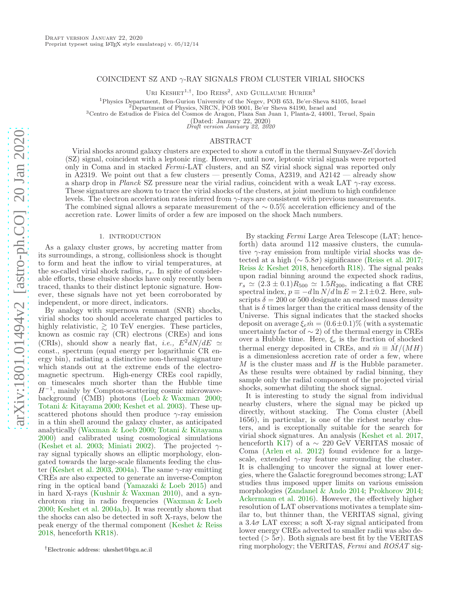# COINCIDENT SZ AND  $\gamma$ -RAY SIGNALS FROM CLUSTER VIRIAL SHOCKS

URI KESHET<sup>1,†</sup>, IDO REISS<sup>2</sup>, AND GUILLAUME HURIER<sup>3</sup>

<sup>1</sup>Physics Department, Ben-Gurion University of the Negev, POB 653, Be'er-Sheva 84105, Israel

<sup>2</sup>Department of Physics, NRCN, POB 9001, Be'er Sheva 84190, Israel and

<sup>3</sup>Centro de Estudios de Fisica del Cosmos de Aragon, Plaza San Juan 1, Planta-2, 44001, Teruel, Spain

(Dated: January 22, 2020)

Draft version January 22, 2020

## ABSTRACT

Virial shocks around galaxy clusters are expected to show a cutoff in the thermal Sunyaev-Zel'dovich (SZ) signal, coincident with a leptonic ring. However, until now, leptonic virial signals were reported only in Coma and in stacked *Fermi*-LAT clusters, and an SZ virial shock signal was reported only in A2319. We point out that a few clusters — presently Coma, A2319, and  $\overline{A}2142$  — already show a sharp drop in *Planck* SZ pressure near the virial radius, coincident with a weak LAT γ-ray excess. These signatures are shown to trace the virial shocks of the clusters, at joint medium to high confidence levels. The electron acceleration rates inferred from  $\gamma$ -rays are consistent with previous measurements. The combined signal allows a separate measurement of the  $\sim 0.5\%$  acceleration efficiency and of the accretion rate. Lower limits of order a few are imposed on the shock Mach numbers.

### 1. INTRODUCTION

As a galaxy cluster grows, by accreting matter from its surroundings, a strong, collisionless shock is thought to form and heat the inflow to virial temperatures, at the so-called virial shock radius,  $r_s$ . In spite of considerable efforts, these elusive shocks have only recently been traced, thanks to their distinct leptonic signature. However, these signals have not yet been corroborated by independent, or more direct, indicators.

By analogy with supernova remnant (SNR) shocks, virial shocks too should accelerate charged particles to highly relativistic,  $\geq 10$  TeV energies. These particles, known as cosmic ray (CR) electrons (CREs) and ions (CRIs), should show a nearly flat, *i.e.*,  $E^2 dN/dE \simeq$ const., spectrum (equal energy per logarithmic CR energy bin), radiating a distinctive non-thermal signature which stands out at the extreme ends of the electromagnetic spectrum. High-energy CREs cool rapidly, on timescales much shorter than the Hubble time  $H^{-1}$ , mainly by Compton-scattering cosmic microwavebackground (CMB) photons [\(Loeb & Waxman 2000;](#page-8-0) [Totani & Kitayama 2000;](#page-8-1) [Keshet et al. 2003\)](#page-8-2). These upscattered photons should then produce  $\gamma$ -ray emission in a thin shell around the galaxy cluster, as anticipated analytically [\(Waxman & Loeb 2000;](#page-8-3) [Totani & Kitayama](#page-8-1) [2000\)](#page-8-1) and calibrated using cosmological simulations [\(Keshet et al. 2003](#page-8-2); [Miniati 2002\)](#page-8-4). The projected  $\gamma$ ray signal typically shows an elliptic morphology, elongated towards the large-scale filaments feeding the clus-ter [\(Keshet et al. 2003,](#page-8-2) [2004a\)](#page-8-5). The same  $\gamma$ -ray emitting CREs are also expected to generate an inverse-Compton ring in the optical band [\(Yamazaki & Loeb 2015\)](#page-8-6) and in hard X-rays [\(Kushnir & Waxman 2010\)](#page-8-7), and a synchrotron ring in radio frequencies [\(Waxman & Loeb](#page-8-3) [2000;](#page-8-3) [Keshet et al. 2004a](#page-8-5)[,b](#page-8-8)). It was recently shown that the shocks can also be detected in soft X-rays, below the peak energy of the thermal component [\(Keshet & Reiss](#page-8-9) [2018,](#page-8-9) henceforth [KR18\)](#page-8-9).

By stacking *Fermi* Large Area Telescope (LAT; henceforth) data around 112 massive clusters, the cumulative  $\gamma$ -ray emission from multiple virial shocks was detected at a high ( $\sim 5.8\sigma$ ) significance [\(Reiss et al. 2017](#page-8-10); [Reiss & Keshet 2018](#page-8-11), henceforth [R18\)](#page-8-11). The signal peaks upon radial binning around the expected shock radius,  $r_s \simeq (2.3 \pm 0.1) R_{500} \simeq 1.5 R_{200}$ , indicating a flat CRE spectral index,  $p \equiv -d \ln N/d \ln E = 2.1 \pm 0.2$ . Here, subscripts  $\delta = 200$  or 500 designate an enclosed mass density that is  $\delta$  times larger than the critical mass density of the Universe. This signal indicates that the stacked shocks deposit on average  $\xi_e \dot{m} = (0.6 \pm 0.1)\%$  (with a systematic uncertainty factor of  $\sim$  2) of the thermal energy in CREs over a Hubble time. Here,  $\xi_e$  is the fraction of shocked thermal energy deposited in CREs, and  $\dot{m} \equiv \dot{M}/(MH)$ is a dimensionless accretion rate of order a few, where  $M$  is the cluster mass and  $H$  is the Hubble parameter. As these results were obtained by radial binning, they sample only the radial component of the projected virial shocks, somewhat diluting the shock signal.

It is interesting to study the signal from individual nearby clusters, where the signal may be picked up directly, without stacking. The Coma cluster (Abell 1656), in particular, is one of the richest nearby clusters, and is exceptionally suitable for the search for virial shock signatures. An analysis [\(Keshet et al. 2017](#page-8-12), henceforth [K17\)](#page-8-12) of a  $\sim$  220 GeV VERITAS mosaic of Coma [\(Arlen et al. 2012\)](#page-8-13) found evidence for a largescale, extended  $\gamma$ -ray feature surrounding the cluster. It is challenging to uncover the signal at lower energies, where the Galactic foreground becomes strong; LAT studies thus imposed upper limits on various emission morphologies [\(Zandanel & Ando 2014;](#page-8-14) [Prokhorov 2014](#page-8-15); [Ackermann et al. 2016\)](#page-7-0). However, the effectively higher resolution of LAT observations motivates a template similar to, but thinner than, the VERITAS signal, giving a  $3.4\sigma$  LAT excess; a soft X-ray signal anticipated from lower energy CREs advected to smaller radii was also detected ( $> 5\sigma$ ). Both signals are best fit by the VERITAS ring morphology; the VERITAS, *Fermi* and *ROSAT* sig-

<sup>†</sup>Electronic address: ukeshet@bgu.ac.il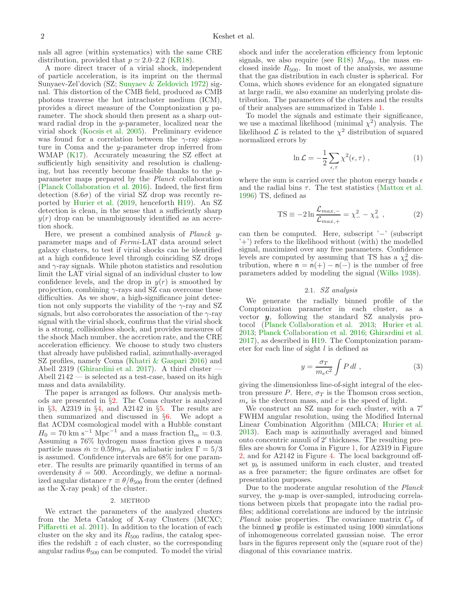nals all agree (within systematics) with the same CRE distribution, provided that  $p \approx 2.0{\text -}2.2$  [\(KR18\)](#page-8-9).

A more direct tracer of a virial shock, independent of particle acceleration, is its imprint on the thermal Sunyaev-Zel'dovich (SZ; [Sunyaev & Zeldovich 1972](#page-8-16)) signal. This distortion of the CMB field, produced as CMB photons traverse the hot intracluster medium (ICM), provides a direct measure of the Comptonization y parameter. The shock should then present as a sharp outward radial drop in the y-parameter, localized near the virial shock [\(Kocsis et al. 2005](#page-8-17)). Preliminary evidence was found for a correlation between the  $\gamma$ -ray signature in Coma and the y-parameter drop inferred from WMAP [\(K17](#page-8-12)). Accurately measuring the SZ effect at sufficiently high sensitivity and resolution is challenging, but has recently become feasible thanks to the  $\check{y}$ parameter maps prepared by the *Planck* collaboration [\(Planck Collaboration et al. 2016](#page-8-18)). Indeed, the first firm detection  $(8.6\sigma)$  of the virial SZ drop was recently reported by [Hurier et al.](#page-8-19) [\(2019](#page-8-19), henceforth [H19](#page-8-19)). An SZ detection is clean, in the sense that a sufficiently sharp  $y(r)$  drop can be unambiguously identified as an accretion shock.

Here, we present a combined analysis of *Planck* yparameter maps and of *Fermi*-LAT data around select galaxy clusters, to test if virial shocks can be identified at a high confidence level through coinciding SZ drops and  $\gamma$ -ray signals. While photon statistics and resolution limit the LAT virial signal of an individual cluster to low confidence levels, and the drop in  $y(r)$  is smoothed by projection, combining  $\gamma$ -rays and SZ can overcome these difficulties. As we show, a high-significance joint detection not only supports the viability of the  $\gamma$ -ray and SZ signals, but also corroborates the association of the  $\gamma$ -ray signal with the virial shock, confirms that the virial shock is a strong, collisionless shock, and provides measures of the shock Mach number, the accretion rate, and the CRE acceleration efficiency. We choose to study two clusters that already have published radial, azimuthally-averaged SZ profiles, namely Coma [\(Khatri & Gaspari 2016\)](#page-8-20) and Abell 2319 [\(Ghirardini et al. 2017](#page-8-21)). A third cluster — Abell 2142 — is selected as a test-case, based on its high mass and data availability.

The paper is arranged as follows. Our analysis methods are presented in §[2.](#page-1-0) The Coma cluster is analyzed in §[3,](#page-3-0) A2319 in §[4,](#page-4-0) and A2142 in §[5.](#page-5-0) The results are then summarized and discussed in §[6.](#page-6-0) We adopt a flat ΛCDM cosmological model with a Hubble constant  $H_0 = 70$  km s<sup>-1</sup> Mpc<sup>-1</sup> and a mass fraction  $\Omega_m = 0.3$ . Assuming a 76% hydrogen mass fraction gives a mean particle mass  $\bar{m} \simeq 0.59m_p$ . An adiabatic index  $\Gamma = 5/3$ is assumed. Confidence intervals are 68% for one parameter. The results are primarily quantified in terms of an overdensity  $\delta = 500$ . Accordingly, we define a normalized angular distance  $\tau \equiv \theta/\theta_{500}$  from the center (defined as the X-ray peak) of the cluster.

#### 2. METHOD

<span id="page-1-0"></span>We extract the parameters of the analyzed clusters from the Meta Catalog of X-ray Clusters (MCXC; [Piffaretti et al. 2011](#page-8-22)). In addition to the location of each cluster on the sky and its  $R_{500}$  radius, the catalog specifies the redshift  $z$  of each cluster, so the corresponding angular radius  $\theta_{500}$  can be computed. To model the virial

shock and infer the acceleration efficiency from leptonic signals, we also require (see [R18\)](#page-8-11)  $M_{500}$ , the mass enclosed inside  $R_{500}$ . In most of the analysis, we assume that the gas distribution in each cluster is spherical. For Coma, which shows evidence for an elongated signature at large radii, we also examine an underlying prolate distribution. The parameters of the clusters and the results of their analyses are summarized in Table [1.](#page-7-1)

To model the signals and estimate their significance, we use a maximal likelihood (minimal  $\chi^2$ ) analysis. The likelihood  $\mathcal L$  is related to the  $\chi^2$  distribution of squared normalized errors by

$$
\ln \mathcal{L} = -\frac{1}{2} \sum_{\epsilon, \tau} \chi^2(\epsilon, \tau) , \qquad (1)
$$

where the sum is carried over the photon energy bands  $\epsilon$ and the radial bins  $\tau$ . The test statistics [\(Mattox et al.](#page-8-23) [1996\)](#page-8-23) TS, defined as

$$
TS = -2\ln \frac{\mathcal{L}_{max,-}}{\mathcal{L}_{max,+}} = \chi_{-}^{2} - \chi_{+}^{2} , \qquad (2)
$$

can then be computed. Here, subscript '−' (subscript '+') refers to the likelihood without (with) the modelled signal, maximized over any free parameters. Confidence levels are computed by assuming that TS has a  $\chi^2$  distribution, where  $n = n(+) - n(-)$  is the number of free parameters added by modeling the signal [\(Wilks 1938\)](#page-8-24).

# 2.1. *SZ analysis*

<span id="page-1-2"></span>We generate the radially binned profile of the Comptonization parameter in each cluster, as a vector  $y$ , following the standard SZ analysis protocol [\(Planck Collaboration et al. 2013;](#page-8-25) [Hurier et al.](#page-8-26) [2013;](#page-8-26) [Planck Collaboration et al. 2016;](#page-8-18) [Ghirardini et al.](#page-8-21) [2017\)](#page-8-21), as described in [H19](#page-8-19). The Comptonization parameter for each line of sight l is defined as

<span id="page-1-1"></span>
$$
y = \frac{\sigma_T}{m_e c^2} \int P \, dl \tag{3}
$$

giving the dimensionless line-of-sight integral of the electron pressure P. Here,  $\sigma_T$  is the Thomson cross section,  $m_e$  is the electron mass, and c is the speed of light.

We construct an SZ map for each cluster, with a 7′ FWHM angular resolution, using the Modified Internal Linear Combination Algorithm (MILCA; [Hurier et al.](#page-8-26) [2013\)](#page-8-26). Each map is azimuthally averaged and binned onto concentric annuli of 2′ thickness. The resulting profiles are shown for Coma in Figure [1,](#page-4-1) for A2319 in Figure [2,](#page-5-1) and for A2142 in Figure [4.](#page-6-1) The local background offset  $y_b$  is assumed uniform in each cluster, and treated as a free parameter; the figure ordinates are offset for presentation purposes.

Due to the moderate angular resolution of the *Planck* survey, the y-map is over-sampled, introducing correlations between pixels that propagate into the radial profiles; additional correlations are induced by the intrinsic *Planck* noise properties. The covariance matrix  $C_p$  of the binned  $\hat{y}$  profile is estimated using 1000 simulations of inhomogeneous correlated gaussian noise. The error bars in the figures represent only the (square root of the) diagonal of this covariance matrix.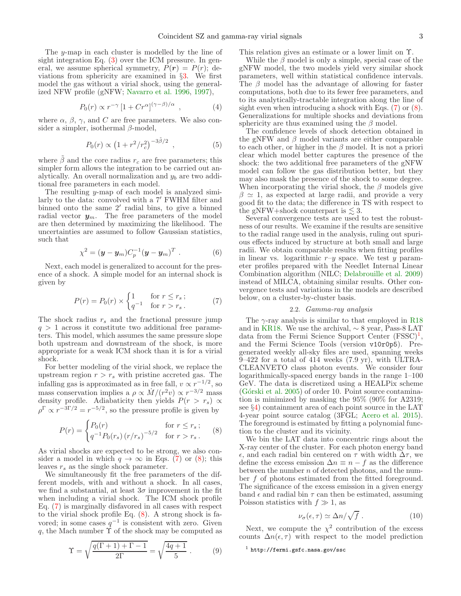The y-map in each cluster is modelled by the line of sight integration Eq. [\(3\)](#page-1-1) over the ICM pressure. In general, we assume spherical symmetry,  $P(r) = P(r)$ ; deviations from sphericity are examined in §[3.](#page-3-0) We first model the gas without a virial shock, using the generalized NFW profile (gNFW; [Navarro et al. 1996,](#page-8-27) [1997\)](#page-8-28),

<span id="page-2-3"></span>
$$
P_0(r) \propto r^{-\gamma} \left[1 + Cr^{\alpha}\right]^{(\gamma - \beta)/\alpha}, \qquad (4)
$$

where  $\alpha$ ,  $\beta$ ,  $\gamma$ , and C are free parameters. We also consider a simpler, isothermal  $\beta$ -model,

<span id="page-2-4"></span>
$$
P_0(r) \propto \left(1 + r^2/r_c^2\right)^{-3\tilde{\beta}/2} , \qquad (5)
$$

where  $\hat{\beta}$  and the core radius  $r_c$  are free parameters; this simpler form allows the integration to be carried out analytically. An overall normalization and  $y<sub>b</sub>$  are two additional free parameters in each model.

The resulting y-map of each model is analyzed similarly to the data: convolved with a 7′ FWHM filter and binned onto the same 2′ radial bins, to give a binned radial vector  $y_m$ . The free parameters of the model are then determined by maximizing the likelihood. The uncertainties are assumed to follow Gaussian statistics, such that

$$
\chi^2 = (\boldsymbol{y} - \boldsymbol{y}_m) C_p^{-1} (\boldsymbol{y} - \boldsymbol{y}_m)^T . \tag{6}
$$

Next, each model is generalized to account for the presence of a shock. A simple model for an internal shock is given by

<span id="page-2-0"></span>
$$
P(r) = P_0(r) \times \begin{cases} 1 & \text{for } r \le r_s \\ q^{-1} & \text{for } r > r_s \end{cases} \tag{7}
$$

The shock radius  $r_s$  and the fractional pressure jump  $q > 1$  across it constitute two additional free parameters. This model, which assumes the same pressure slope both upstream and downstream of the shock, is more appropriate for a weak ICM shock than it is for a virial shock.

For better modeling of the virial shock, we replace the upstream region  $r > r_s$  with pristine accreted gas. The infalling gas is approximated as in free fall,  $v \propto r^{-1/2}$ , so mass conservation implies a  $\rho \propto \dot{M}/(r^2 v) \propto r^{-3/2}$  mass density profile. Adiabaticity then yields  $P(r > r_s) \propto$  $\rho^{\Gamma} \propto r^{-3\Gamma/2} = r^{-5/2}$ , so the pressure profile is given by

<span id="page-2-1"></span>
$$
P(r) = \begin{cases} P_0(r) & \text{for } r \le r_s; \\ q^{-1} P_0(r_s) (r/r_s)^{-5/2} & \text{for } r > r_s. \end{cases}
$$
 (8)

As virial shocks are expected to be strong, we also consider a model in which  $q \to \infty$  in Eqs. [\(7\)](#page-2-0) or [\(8\)](#page-2-1); this leaves  $r_s$  as the single shock parameter.

We simultaneously fit the free parameters of the different models, with and without a shock. In all cases, we find a substantial, at least  $3\sigma$  improvement in the fit when including a virial shock. The ICM shock profile Eq. [\(7\)](#page-2-0) is marginally disfavored in all cases with respect to the virial shock profile Eq. [\(8\)](#page-2-1). A strong shock is favored; in some cases  $q^{-1}$  is consistent with zero. Given q, the Mach number  $\tilde{\Upsilon}$  of the shock may be computed as

$$
\Upsilon = \sqrt{\frac{q(\Gamma + 1) + \Gamma - 1}{2\Gamma}} = \sqrt{\frac{4q + 1}{5}}.
$$
 (9)

This relation gives an estimate or a lower limit on Υ.

While the  $\beta$  model is only a simple, special case of the gNFW model, the two models yield very similar shock parameters, well within statistical confidence intervals. The  $\beta$  model has the advantage of allowing for faster computations, both due to its fewer free parameters, and to its analytically-tractable integration along the line of sight even when introducing a shock with Eqs. [\(7\)](#page-2-0) or [\(8\)](#page-2-1). Generalizations for multiple shocks and deviations from sphericity are thus examined using the  $\beta$  model.

The confidence levels of shock detection obtained in the gNFW and  $\beta$  model variants are either comparable to each other, or higher in the  $\beta$  model. It is not a priori clear which model better captures the presence of the shock: the two additional free parameters of the gNFW model can follow the gas distribution better, but they may also mask the presence of the shock to some degree. When incorporating the virial shock, the  $\beta$  models give  $\beta \simeq 1$ , as expected at large radii, and provide a very good fit to the data; the difference in TS with respect to the gNFW+shock counterpart is  $\lesssim 3$ .

Several convergence tests are used to test the robustness of our results. We examine if the results are sensitive to the radial range used in the analysis, ruling out spurious effects induced by structure at both small and large radii. We obtain comparable results when fitting profiles in linear vs. logarithmic  $r-y$  space. We test y parameter profiles prepared with the Needlet Internal Linear Combination algorithm (NILC; [Delabrouille et al. 2009](#page-8-29)) instead of MILCA, obtaining similar results. Other convergence tests and variations in the models are described below, on a cluster-by-cluster basis.

### 2.2. *Gamma-ray analysis*

The  $\gamma$ -ray analysis is similar to that employed in [R18](#page-8-11) and in [KR18.](#page-8-9) We use the archival,  $\sim$  8 year, Pass-8 LAT data from the Fermi Science Support Center  $(FSSC)^1$  $(FSSC)^1$ , and the Fermi Science Tools (version v10r0p5). Pregenerated weekly all-sky files are used, spanning weeks 9–422 for a total of 414 weeks (7.9 yr), with ULTRA-CLEANVETO class photon events. We consider four logarithmically-spaced energy bands in the range 1–100 GeV. The data is discretized using a HEALPix scheme  $(G$ órski et al. 2005) of order 10. Point source contamination is minimized by masking the 95% (90% for A2319; see §[4\)](#page-4-0) containment area of each point source in the LAT 4-year point source catalog (3FGL; [Acero et al. 2015](#page-7-2)). The foreground is estimated by fitting a polynomial function to the cluster and its vicinity.

We bin the LAT data into concentric rings about the X-ray center of the cluster. For each photon energy band ǫ, and each radial bin centered on τ with width ∆τ, we define the excess emission  $\Delta n \equiv n - f$  as the difference between the number  $n$  of detected photons, and the number f of photons estimated from the fitted foreground. The significance of the excess emission in a given energy band  $\epsilon$  and radial bin  $\tau$  can then be estimated, assuming Poisson statistics with  $f \gg 1$ , as

<span id="page-2-5"></span>
$$
\nu_{\sigma}(\epsilon, \tau) \simeq \Delta n / \sqrt{f} \ . \tag{10}
$$

Next, we compute the  $\chi^2$  contribution of the excess counts  $\Delta n(\epsilon, \tau)$  with respect to the model prediction

<span id="page-2-2"></span> $<sup>1</sup>$  http://fermi.gsfc.nasa.gov/ssc</sup>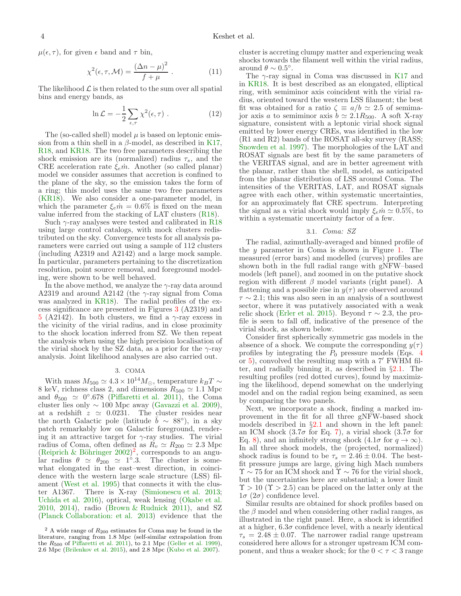$\mu(\epsilon, \tau)$ , for given  $\epsilon$  band and  $\tau$  bin,

$$
\chi^2(\epsilon, \tau, \mathcal{M}) = \frac{(\Delta n - \mu)^2}{f + \mu} \ . \tag{11}
$$

The likelihood  $\mathcal L$  is then related to the sum over all spatial bins and energy bands, as

$$
\ln \mathcal{L} = -\frac{1}{2} \sum_{\epsilon, \tau} \chi^2(\epsilon, \tau) . \tag{12}
$$

The (so-called shell) model  $\mu$  is based on leptonic emission from a thin shell in a  $\beta$ -model, as described in [K17](#page-8-12), [R18](#page-8-11), and [KR18](#page-8-9). The two free parameters describing the shock emission are its (normalized) radius  $\tau_s$ , and the CRE acceleration rate  $\xi_e \dot{m}$ . Another (so called planar) model we consider assumes that accretion is confined to the plane of the sky, so the emission takes the form of a ring; this model uses the same two free parameters [\(KR18\)](#page-8-9). We also consider a one-parameter model, in which the parameter  $\xi_e \dot{m} = 0.6\%$  is fixed on the mean value inferred from the stacking of LAT clusters [\(R18\)](#page-8-11).

Such  $\gamma$ -ray analyses were tested and calibrated in [R18](#page-8-11) using large control catalogs, with mock clusters redistributed on the sky. Convergence tests for all analysis parameters were carried out using a sample of 112 clusters (including A2319 and A2142) and a large mock sample. In particular, parameters pertaining to the discretization resolution, point source removal, and foreground modeling, were shown to be well behaved.

In the above method, we analyze the  $\gamma$ -ray data around A2319 and around A2142 (the  $\gamma$ -ray signal from Coma was analyzed in [KR18\)](#page-8-9). The radial profiles of the excess significance are presented in Figures [3](#page-5-2) (A2319) and [5](#page-6-2) (A2142). In both clusters, we find a  $\gamma$ -ray excess in the vicinity of the virial radius, and in close proximity to the shock location inferred from SZ. We then repeat the analysis when using the high precision localisation of the virial shock by the SZ data, as a prior for the  $\gamma$ -ray analysis. Joint likelihood analyses are also carried out.

# 3. COMA

<span id="page-3-0"></span>With mass  $M_{500} \simeq 4.3 \times 10^{14} M_{\odot},$  temperature  $k_B T \sim$ 8 keV, richness class 2, and dimensions  $R_{500} \simeq 1.1$  Mpc and  $\theta_{500} \simeq 0^{\circ}.678$  [\(Piffaretti et al. 2011\)](#page-8-22), the Coma cluster lies only  $\sim 100$  Mpc away [\(Gavazzi et al. 2009\)](#page-8-31), at a redshift  $z \approx 0.0231$ . The cluster resides near the north Galactic pole (latitude  $\bar{b} \sim 88^{\circ}$ ), in a sky patch remarkably low on Galactic foreground, rendering it an attractive target for  $\gamma$ -ray studies. The virial radius of Coma, often defined as  $R_v \simeq R_{200} \simeq 2.3$  Mpc (Reiprich & Böhringer  $2002$  $2002$ )<sup>2</sup>, corresponds to an angular radius  $\theta \simeq \theta_{200} \simeq 1^{\circ}.3$ . The cluster is somewhat elongated in the east–west direction, in coincidence with the western large scale structure (LSS) filament [\(West et al. 1995\)](#page-8-33) that connects it with the cluster A1367. There is X-ray [\(Simionescu et al. 2013;](#page-8-34) [Uchida et al. 2016\)](#page-8-35), optical, weak lensing [\(Okabe et al.](#page-8-36) [2010,](#page-8-36) [2014](#page-8-37)), radio [\(Brown & Rudnick 2011\)](#page-8-38), and SZ [\(Planck Collaboration: et al. 2013\)](#page-8-39) evidence that the

cluster is accreting clumpy matter and experiencing weak shocks towards the filament well within the virial radius, around  $\theta \sim 0.5^{\circ}$ .

The  $\gamma$ -ray signal in Coma was discussed in [K17](#page-8-12) and in [KR18.](#page-8-9) It is best described as an elongated, elliptical ring, with semiminor axis coincident with the virial radius, oriented toward the western LSS filament; the best fit was obtained for a ratio  $\zeta \equiv a/b \simeq 2.5$  of semimajor axis a to semiminor axis  $b \simeq 2.1R_{500}$ . A soft X-ray signature, consistent with a leptonic virial shock signal emitted by lower energy CREs, was identified in the low (R1 and R2) bands of the ROSAT all-sky survey (RASS; [Snowden et al. 1997\)](#page-8-43). The morphologies of the LAT and ROSAT signals are best fit by the same parameters of the VERITAS signal, and are in better agreement with the planar, rather than the shell, model, as anticipated from the planar distribution of LSS around Coma. The intensities of the VERITAS, LAT, and ROSAT signals agree with each other, within systematic uncertainties, for an approximately flat CRE spectrum. Interpreting the signal as a virial shock would imply  $\xi_e \dot{m} \simeq 0.5\%$ , to within a systematic uncertainty factor of a few.

### 3.1. *Coma: SZ*

The radial, azimuthally-averaged and binned profile of the  $y$  parameter in Coma is shown in Figure [1.](#page-4-1) The measured (error bars) and modelled (curves) profiles are shown both in the full radial range with gNFW–based models (left panel), and zoomed in on the putative shock region with different  $\beta$  model variants (right panel). A flattening and a possible rise in  $y(\tau)$  are observed around  $\tau \sim 2.1$ ; this was also seen in an analysis of a southwest sector, where it was putatively associated with a weak relic shock [\(Erler et al. 2015\)](#page-8-44). Beyond  $\tau \sim 2.3$ , the profile is seen to fall off, indicative of the presence of the virial shock, as shown below.

Consider first spherically symmetric gas models in the absence of a shock. We compute the corresponding  $y(\tau)$ profiles by integrating the  $P_0$  pressure models (Eqs. [4](#page-2-3)) or [5\)](#page-2-4), convolved the resulting map with a 7′ FWHM filter, and radially binning it, as described in §[2.1.](#page-1-2) The resulting profiles (red dotted curves), found by maximizing the likelihood, depend somewhat on the underlying model and on the radial region being examined, as seen by comparing the two panels.

Next, we incorporate a shock, finding a marked improvement in the fit for all three gNFW-based shock models described in §[2.1](#page-1-2) and shown in the left panel: an ICM shock  $(3.7\sigma$  for Eq. [7\)](#page-2-0), a virial shock  $(3.7\sigma$  for Eq. [8\)](#page-2-1), and an infinitely strong shock  $(4.1\sigma$  for  $q \to \infty)$ . In all three shock models, the (projected, normalized) shock radius is found to be  $\tau_s = 2.46 \pm 0.04$ . The bestfit pressure jumps are large, giving high Mach numbers  $\Upsilon$  ~ 75 for an ICM shock and  $\Upsilon$  ~ 76 for the virial shock, but the uncertainties here are substantial; a lower limit  $\Upsilon > 10$  ( $\Upsilon > 2.5$ ) can be placed on the latter only at the  $1\sigma$  ( $2\sigma$ ) confidence level.

Similar results are obtained for shock profiles based on the  $\beta$  model and when considering other radial ranges, as illustrated in the right panel. Here, a shock is identified at a higher,  $6.3\sigma$  confidence level, with a nearly identical  $\tau_s = 2.48 \pm 0.07$ . The narrower radial range upstream considered here allows for a stronger upstream ICM component, and thus a weaker shock; for the  $0 < \tau < 3$  range

<span id="page-3-1"></span> $2A$  wide range of  $R_{200}$  estimates for Coma may be found in the literature, ranging from 1.8 Mpc (self-similar extrapolation from the  $R_{500}$  of [Piffaretti et al. 2011](#page-8-22)), to 2.1 Mpc [\(Geller et al. 1999](#page-8-40)), 2.6 Mpc [\(Brilenkov et al. 2015](#page-8-41)), and 2.8 Mpc [\(Kubo et al. 2007](#page-8-42)).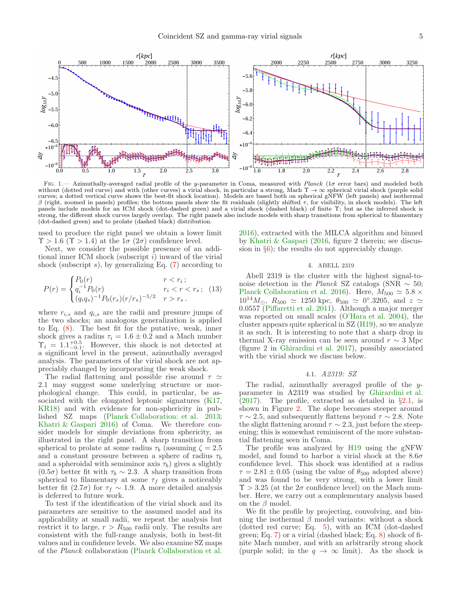

<span id="page-4-1"></span>FIG. 1.— Azimuthally-averaged radial profile of the y-parameter in Coma, measured with Planck (1 $\sigma$  error bars) and modeled both without (dotted red curve) and with (other curves) a virial shock, in particular a strong, Mach  $\Upsilon \to \infty$  spherical virial shock (purple solid curves; a dotted vertical curve shows the best-fit shock location). Models are based both on spherical gNFW (left panels) and isothermal β (right, zoomed in panels) profiles; the bottom panels show the fit residuals (slightly shifted τ, for visibility, in shock models). The left panels include models for an ICM shock (dot-dashed green) and a virial shock (dashed black) of finite Υ; but as the inferred shock is strong, the different shock curves largely overlap. The right panels also include models with sharp transitions from spherical to filamentary (dot-dashed green) and to prolate (dashed black) distribution.

used to produce the right panel we obtain a lower limit  $\Upsilon > 1.6$  ( $\Upsilon > 1.4$ ) at the  $1\sigma$  ( $2\sigma$ ) confidence level.

Next, we consider the possible presence of an additional inner ICM shock (subscript  $i$ ) inward of the virial shock (subscript  $s$ ), by generalizing Eq. [\(7\)](#page-2-0) according to

$$
P(r) = \begin{cases} P_0(r) & r < r_i; \\ q_i^{-1} P_0(r) & r_i < r < r_s; \\ (q_i q_s)^{-1} P_0(r_s) (r/r_s)^{-5/2} & r > r_s. \end{cases}
$$
 (13)

where  $r_{i,s}$  and  $q_{i,s}$  are the radii and pressure jumps of the two shocks; an analogous generalization is applied to Eq. [\(8\)](#page-2-1). The best fit for the putative, weak, inner shock gives a radius  $\tau_i = 1.6 \pm 0.2$  and a Mach number  $\Upsilon_i = 1.1^{+0.5}_{-0.1}$ . However, this shock is not detected at a significant level in the present, azimuthally averaged analysis. The parameters of the virial shock are not appreciably changed by incorporating the weak shock.

The radial flattening and possible rise around  $\tau \simeq$ 2.1 may suggest some underlying structure or morphological change. This could, in particular, be associated with the elongated leptonic signatures [\(K17](#page-8-12), [KR18\)](#page-8-9) and with evidence for non-sphericity in published SZ maps [\(Planck Collaboration: et al. 2013;](#page-8-39) Khatri  $&$  Gaspari 2016) of Coma. We therefore consider models for simple deviations from sphericity, as illustrated in the right panel. A sharp transition from spherical to prolate at some radius  $\tau_b$  (assuming  $\zeta = 2.5$ ) and a constant pressure between a sphere of radius  $\tau_b$ and a spheroidal with semiminor axis  $\tau_b$ ) gives a slightly (0.5σ) better fit with  $τ<sub>b</sub> ~ 2.3$ . A sharp transition from spherical to filamentary at some  $\tau_f$  gives a noticeably better fit (2.7 $\sigma$ ) for  $\tau_f \sim 1.9$ . A more detailed analysis is deferred to future work.

To test if the identification of the virial shock and its parameters are sensitive to the assumed model and its applicability at small radii, we repeat the analysis but restrict it to large,  $r > R_{500}$  radii only. The results are consistent with the full-range analysis, both in best-fit values and in confidence levels. We also examine SZ maps of the *Planck* collaboration [\(Planck Collaboration et al.](#page-8-18)

[2016\)](#page-8-18), extracted with the MILCA algorithm and binned by [Khatri & Gaspari](#page-8-20) [\(2016](#page-8-20), figure 2 therein; see discussion in §[6\)](#page-6-0); the results do not appreciably change.

#### 4. ABELL 2319

<span id="page-4-0"></span>Abell 2319 is the cluster with the highest signal-tonoise detection in the *Planck* SZ catalogs (SNR ∼ 50; [Planck Collaboration et al. 2016\)](#page-8-18). Here,  $M_{500} \simeq 5.8 \times$  $10^{14}M_{\odot}$ ,  $R_{500} \simeq 1250$  kpc,  $\theta_{500} \simeq 0^{\circ}.3205$ , and  $z \simeq$ 0.0557 [\(Piffaretti et al. 2011](#page-8-22)). Although a major merger was reported on small scales [\(O'Hara et al. 2004\)](#page-8-45), the cluster appears quite spherical in SZ [\(H19](#page-8-19)), so we analyze it as such. It is interesting to note that a sharp drop in thermal X-ray emission can be seen around  $r \sim 3$  Mpc (figure 2 in [Ghirardini et al. 2017\)](#page-8-21), possibly associated with the virial shock we discuss below.

#### 4.1. *A2319: SZ*

The radial, azimuthally averaged profile of the yparameter in A2319 was studied by [Ghirardini et al.](#page-8-21)  $(2017)$ . The profile, extracted as detailed in §[2.1,](#page-1-2) is shown in Figure [2.](#page-5-1) The slope becomes steeper around  $\tau \sim 2.5$ , and subsequently flattens beyond  $\tau \sim 2.8$ . Note the slight flattening around  $\tau \sim 2.3$ , just before the steepening; this is somewhat reminiscent of the more substantial flattening seen in Coma.

The profile was analyzed by [H19](#page-8-19) using the gNFW model, and found to harbor a virial shock at the  $8.6\sigma$ confidence level. This shock was identified at a radius  $\tau = 2.81 \pm 0.05$  (using the value of  $\theta_{500}$  adopted above) and was found to be very strong, with a lower limit  $\Upsilon > 3.25$  (at the  $2\sigma$  confidence level) on the Mach number. Here, we carry out a complementary analysis based on the  $\beta$  model.

We fit the profile by projecting, convolving, and binning the isothermal  $\beta$  model variants: without a shock (dotted red curve; Eq. [5\)](#page-2-4), with an ICM (dot-dashed green; Eq. [7\)](#page-2-0) or a virial (dashed black; Eq.  $8$ ) shock of finite Mach number, and with an arbitrarily strong shock (purple solid; in the  $q \to \infty$  limit). As the shock is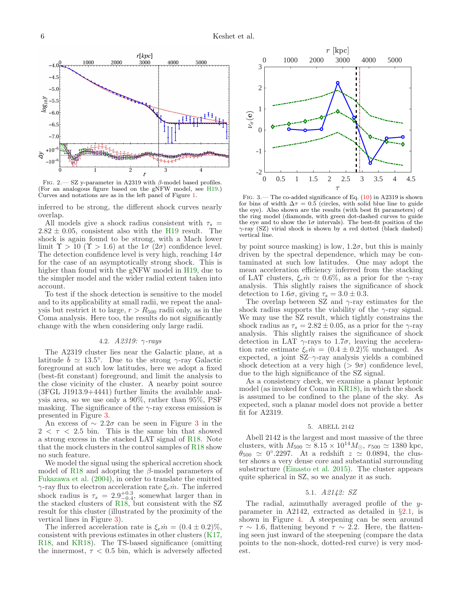

<span id="page-5-1"></span>FIG. 2.— SZ y-parameter in A2319 with  $\beta$ -model based profiles. (For an analogous figure based on the gNFW model, see [H19](#page-8-19).) Curves and notations are as in the left panel of Figure [1.](#page-4-1)

inferred to be strong, the different shock curves nearly overlap.

All models give a shock radius consistent with  $\tau_s$  =  $2.82 \pm 0.05$ , consistent also with the [H19](#page-8-19) result. The shock is again found to be strong, with a Mach lower limit  $\Upsilon > 10$  ( $\Upsilon > 1.6$ ) at the  $1\sigma(2\sigma)$  confidence level. The detection confidence level is very high, reaching  $14\sigma$ for the case of an asymptotically strong shock. This is higher than found with the gNFW model in H<sub>19</sub>, due to the simpler model and the wider radial extent taken into account.

To test if the shock detection is sensitive to the model and to its applicability at small radii, we repeat the analysis but restrict it to large,  $r > R_{500}$  radii only, as in the Coma analysis. Here too, the results do not significantly change with the when considering only large radii.

#### 4.2. *A2319:* γ*-rays*

The A2319 cluster lies near the Galactic plane, at a latitude  $\bar{b} \simeq 13.5^{\circ}$ . Due to the strong  $\gamma$ -ray Galactic foreground at such low latitudes, here we adopt a fixed (best-fit constant) foreground, and limit the analysis to the close vicinity of the cluster. A nearby point source (3FGL J1913.9+4441) further limits the available analysis area, so we use only a 90%, rather than 95%, PSF masking. The significance of the  $\gamma$ -ray excess emission is presented in Figure [3.](#page-5-2)

An excess of  $\sim 2.2\sigma$  can be seen in Figure [3](#page-5-2) in the  $2 < \tau < 2.5$  bin. This is the same bin that showed a strong excess in the stacked LAT signal of [R18](#page-8-11). Note that the mock clusters in the control samples of [R18](#page-8-11) show no such feature.

We model the signal using the spherical accretion shock model of [R18](#page-8-11) and adopting the  $\beta$ -model parameters of [Fukazawa et al.](#page-8-46) [\(2004\)](#page-8-46), in order to translate the emitted  $\gamma$ -ray flux to electron acceleration rate  $\xi_e \dot{m}$ . The inferred shock radius is  $\tau_s = 2.9^{+0.3}_{-0.4}$ , somewhat larger than in the stacked clusters of [R18](#page-8-11), but consistent with the SZ result for this cluster (illustrated by the proximity of the vertical lines in Figure [3\)](#page-5-2).

The inferred acceleration rate is  $\xi_e \dot{m} = (0.4 \pm 0.2)\%$ , consistent with previous estimates in other clusters [\(K17](#page-8-12), [R18](#page-8-11), and [KR18\)](#page-8-9). The TS-based significance (omitting the innermost,  $\tau$  < 0.5 bin, which is adversely affected



<span id="page-5-2"></span>FIG. 3.— The co-added significance of Eq.  $(10)$  in A2319 is shown for bins of width  $\Delta \tau = 0.5$  (circles, with solid blue line to guide the eye). Also shown are the results (with best fit parameters) of the ring model (diamonds, with green dot-dashed curves to guide the eye and to show the  $1\sigma$  intervals). The best-fit position of the γ-ray (SZ) virial shock is shown by a red dotted (black dashed) vertical line.

by point source masking) is low,  $1.2\sigma$ , but this is mainly driven by the spectral dependence, which may be contaminated at such low latitudes. One may adopt the mean acceleration efficiency inferred from the stacking of LAT clusters,  $\xi_e \dot{m} \simeq 0.6\%$ , as a prior for the  $\gamma$ -ray analysis. This slightly raises the significance of shock detection to 1.6 $\sigma$ , giving  $\tau_s = 3.0 \pm 0.3$ .

The overlap between SZ and  $\gamma$ -ray estimates for the shock radius supports the viability of the  $\gamma$ -ray signal. We may use the SZ result, which tightly constrains the shock radius as  $\tau_s = 2.82 \pm 0.05$ , as a prior for the  $\gamma$ -ray analysis. This slightly raises the significance of shock detection in LAT  $\gamma$ -rays to 1.7 $\sigma$ , leaving the acceleration rate estimate  $\xi_e \dot{m} = (0.4 \pm 0.2)\%$  unchanged. As expected, a joint  $SZ-\gamma$ -ray analysis yields a combined shock detection at a very high ( $> 9\sigma$ ) confidence level, due to the high significance of the SZ signal.

As a consistency check, we examine a planar leptonic model (as invoked for Coma in [KR18](#page-8-9)), in which the shock is assumed to be confined to the plane of the sky. As expected, such a planar model does not provide a better fit for A2319.

#### 5. ABELL 2142

<span id="page-5-0"></span>Abell 2142 is the largest and most massive of the three clusters, with  $M_{500} \simeq 8.15 \times 10^{14} M_{\odot}$ ,  $r_{500} \simeq 1380$  kpc,  $\theta_{500} \simeq 0^{\circ}.2297$ . At a redshift  $z \simeq 0.0894$ , the cluster shows a very dense core and substantial surrounding substructure [\(Einasto et al. 2015\)](#page-8-47). The cluster appears quite spherical in SZ, so we analyze it as such.

### 5.1. *A2142: SZ*

The radial, azimuthally averaged profile of the yparameter in A2142, extracted as detailed in §[2.1,](#page-1-2) is shown in Figure [4.](#page-6-1) A steepening can be seen around  $\tau \sim 1.6$ , flattening beyond  $\tau \sim 2.2$ . Here, the flattening seen just inward of the steepening (compare the data points to the non-shock, dotted-red curve) is very modest.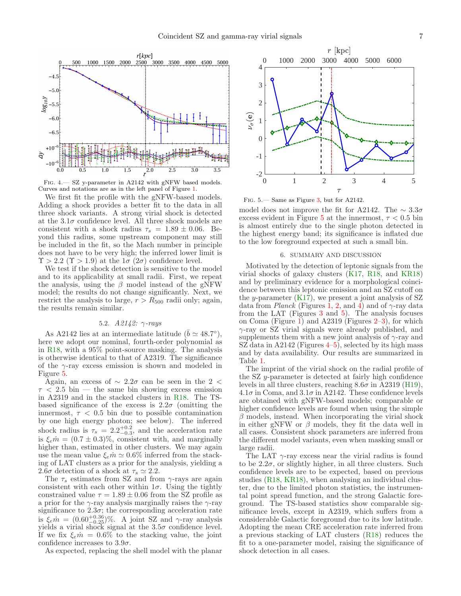

<span id="page-6-1"></span>Fig. 4.— SZ y-parameter in A2142 with gNFW based models. Curves and notations are as in the left panel of Figure [1.](#page-4-1)

We first fit the profile with the gNFW-based models. Adding a shock provides a better fit to the data in all three shock variants. A strong virial shock is detected at the  $3.1\sigma$  confidence level. All three shock models are consistent with a shock radius  $\tau_s = 1.89 \pm 0.06$ . Beyond this radius, some upstream component may still be included in the fit, so the Mach number in principle does not have to be very high; the inferred lower limit is  $\Upsilon > 2.2$  ( $\Upsilon > 1.9$ ) at the  $1\sigma$  ( $2\sigma$ ) confidence level.

We test if the shock detection is sensitive to the model and to its applicability at small radii. First, we repeat the analysis, using the  $\beta$  model instead of the gNFW model; the results do not change significantly. Next, we restrict the analysis to large,  $r > R_{500}$  radii only; again, the results remain similar.

# 5.2. *A2142:* γ*-rays*

As A2142 lies at an intermediate latitude ( $\bar{b} \simeq 48.7^{\circ}$ ), here we adopt our nominal, fourth-order polynomial as in [R18,](#page-8-11) with a 95% point-source masking. The analysis is otherwise identical to that of A2319. The significance of the  $\gamma$ -ray excess emission is shown and modeled in Figure [5.](#page-6-2)

Again, an excess of  $\sim 2.2\sigma$  can be seen in the 2 <  $\tau$  < 2.5 bin — the same bin showing excess emission in A2319 and in the stacked clusters in [R18](#page-8-11). The TSbased significance of the excess is  $2.2\sigma$  (omitting the innermost,  $\tau$  < 0.5 bin due to possible contamination by one high energy photon; see below). The inferred shock radius is  $\tau_s = 2.2^{+0.2}_{-0.3}$ , and the acceleration rate is  $\xi_e \dot{m} = (0.7 \pm 0.3)\%$ , consistent with, and marginally higher than, estimated in other clusters. We may again use the mean value  $\xi_e \dot{m} \simeq 0.6\%$  inferred from the stacking of LAT clusters as a prior for the analysis, yielding a 2.6 $\sigma$  detection of a shock at  $\tau_s \simeq 2.2$ .

The  $\tau_s$  estimates from SZ and from  $\gamma$ -rays are again consistent with each other within  $1\sigma$ . Using the tightly constrained value  $\tau = 1.89 \pm 0.06$  from the SZ profile as a prior for the  $\gamma$ -ray analysis marginally raises the  $\gamma$ -ray significance to  $2.3\sigma$ ; the corresponding acceleration rate is  $\xi_e m = (0.60^{+0.36}_{-0.25})\%$ . A joint SZ and  $\gamma$ -ray analysis yields a virial shock signal at the  $3.5\sigma$  confidence level. If we fix  $\xi_e \dot{m} = 0.6\%$  to the stacking value, the joint confidence increases to  $3.9\sigma$ .

As expected, replacing the shell model with the planar



<span id="page-6-2"></span>Fig. 5.— Same as Figure [3,](#page-5-2) but for A2142.

model does not improve the fit for A2142. The  $\sim 3.3\sigma$ excess evident in Figure [5](#page-6-2) at the innermost,  $\tau < 0.5$  bin is almost entirely due to the single photon detected in the highest energy band; its significance is inflated due to the low foreground expected at such a small bin.

#### 6. SUMMARY AND DISCUSSION

<span id="page-6-0"></span>Motivated by the detection of leptonic signals from the virial shocks of galaxy clusters [\(K17,](#page-8-12) [R18](#page-8-11), and [KR18](#page-8-9)) and by preliminary evidence for a morphological coincidence between this leptonic emission and an SZ cutoff on the y-parameter  $(K17)$ , we present a joint analysis of SZ data from *Planck* (Figures [1,](#page-4-1) [2,](#page-5-1) and [4\)](#page-6-1) and of  $\gamma$ -ray data from the LAT (Figures [3](#page-5-2) and [5\)](#page-6-2). The analysis focuses on Coma (Figure [1\)](#page-4-1) and A2319 (Figures [2–](#page-5-1)[3\)](#page-5-2), for which γ-ray or SZ virial signals were already published, and supplements them with a new joint analysis of  $\gamma$ -ray and SZ data in A2142 (Figures  $4-5$ ), selected by its high mass and by data availability. Our results are summarized in Table [1.](#page-7-1)

The imprint of the virial shock on the radial profile of the SZ y-parameter is detected at fairly high confidence levels in all three clusters, reaching  $8.6\sigma$  in A2319 [\(H19](#page-8-19)),  $4.1\sigma$  in Coma, and  $3.1\sigma$  in A2142. These confidence levels are obtained with gNFW-based models; comparable or higher confidence levels are found when using the simple  $\beta$  models, instead. When incorporating the virial shock in either gNFW or  $\beta$  models, they fit the data well in all cases. Consistent shock parameters are inferred from the different model variants, even when masking small or large radii.

The LAT  $\gamma$ -ray excess near the virial radius is found to be  $2.2\sigma$ , or slightly higher, in all three clusters. Such confidence levels are to be expected, based on previous studies [\(R18,](#page-8-11) [KR18\)](#page-8-9), when analysing an individual cluster, due to the limited photon statistics, the instrumental point spread function, and the strong Galactic foreground. The TS-based statistics show comparable significance levels, except in A2319, which suffers from a considerable Galactic foreground due to its low latitude. Adopting the mean CRE acceleration rate inferred from a previous stacking of LAT clusters [\(R18](#page-8-11)) reduces the fit to a one-parameter model, raising the significance of shock detection in all cases.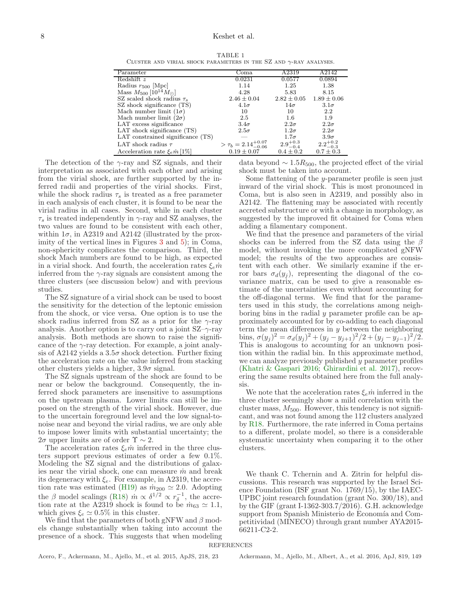TABLE 1 CLUSTER AND VIRIAL SHOCK PARAMETERS IN THE  $SZ$  AND  $\gamma$ -RAY ANALYSES.

<span id="page-7-1"></span>

| Parameter                              | Coma                              | A2319               | A2142               |
|----------------------------------------|-----------------------------------|---------------------|---------------------|
| Redshift z                             | 0.0231                            | 0.0577              | 0.0894              |
| Radius $r_{500}$ [Mpc]                 | 1.14                              | 1.25                | 1.38                |
| Mass $M_{500}$ [ $10^{14} M_{\odot}$ ] | 4.28                              | 5.83                | 8.15                |
| SZ scaled shock radius $\tau_s$        | $2.46 \pm 0.04$                   | $2.82 \pm 0.05$     | $1.89 \pm 0.06$     |
| SZ shock significance (TS)             | $4.1\sigma$                       | $14\sigma$          | $3.1\sigma$         |
| Mach number limit $(1\sigma)$          | 10                                | 10                  | 2.2                 |
| Mach number limit $(2\sigma)$          | 2.5                               | $1.6\,$             | 1.9                 |
| LAT excess significance                | $3.4\sigma$                       | $2.2\sigma$         | $2.2\sigma$         |
| LAT shock significance (TS)            | $2.5\sigma$                       | $1.2\sigma$         | $2.2\sigma$         |
| LAT constrained significance (TS)      |                                   | $1.7\sigma$         | $3.9\sigma$         |
| LAT shock radius $\tau$                | $> \tau_b = 2.14^{+0.07}_{-0.06}$ | $2.9^{+0.3}_{-0.4}$ | $2.2^{+0.2}_{-0.3}$ |
| Acceleration rate $\xi_e m$ [1%]       | $0.19 \pm 0.07$                   | $0.4 \pm 0.2$       | $0.7 \pm 0.3$       |

The detection of the  $\gamma$ -ray and SZ signals, and their interpretation as associated with each other and arising from the virial shock, are further supported by the inferred radii and properties of the virial shocks. First, while the shock radius  $\tau_s$  is treated as a free parameter in each analysis of each cluster, it is found to be near the virial radius in all cases. Second, while in each cluster  $\tau_s$  is treated independently in  $\gamma$ -ray and SZ analyses, the two values are found to be consistent with each other, within  $1\sigma$ , in A2319 and A2142 (illustrated by the proximity of the vertical lines in Figures [3](#page-5-2) and [5\)](#page-6-2); in Coma, non-sphericity complicates the comparison. Third, the shock Mach numbers are found to be high, as expected in a virial shock. And fourth, the acceleration rates  $\xi_e \dot{m}$ inferred from the  $\gamma$ -ray signals are consistent among the three clusters (see discussion below) and with previous studies.

The SZ signature of a virial shock can be used to boost the sensitivity for the detection of the leptonic emission from the shock, or vice versa. One option is to use the shock radius inferred from SZ as a prior for the  $\gamma$ -ray analysis. Another option is to carry out a joint  $SZ-\gamma$ -ray analysis. Both methods are shown to raise the significance of the  $\gamma$ -ray detection. For example, a joint analysis of A2142 yields a  $3.5\sigma$  shock detection. Further fixing the acceleration rate on the value inferred from stacking other clusters yields a higher,  $3.9\sigma$  signal.

The SZ signals upstream of the shock are found to be near or below the background. Consequently, the inferred shock parameters are insensitive to assumptions on the upstream plasma. Lower limits can still be imposed on the strength of the virial shock. However, due to the uncertain foreground level and the low signal-tonoise near and beyond the virial radius, we are only able to impose lower limits with substantial uncertainty; the 2σ upper limits are of order  $\Upsilon \sim 2$ .

The acceleration rates  $\xi_e \dot{m}$  inferred in the three clusters support previous estimates of order a few 0.1%. Modeling the SZ signal and the distributions of galaxies near the virial shock, one can measure  $\dot{m}$  and break its degeneracy with  $\xi_e$ . For example, in A2319, the accre-tion rate was estimated [\(H19\)](#page-8-19) as  $\dot{m}_{200} \simeq 2.0$ . Adopting the  $\beta$  model scalings [\(R18\)](#page-8-11)  $m \propto \delta^{1/2} \propto r_\delta^{-1}$ , the accretion rate at the A2319 shock is found to be  $\dot{m}_{63} \simeq 1.1$ , which gives  $\xi_e \simeq 0.5\%$  in this cluster.

<span id="page-7-2"></span>We find that the parameters of both gNFW and  $\beta$  models change substantially when taking into account the presence of a shock. This suggests that when modeling

data beyond  $\sim 1.5R_{500}$ , the projected effect of the virial shock must be taken into account.

Some flattening of the *y*-parameter profile is seen just inward of the virial shock. This is most pronounced in Coma, but is also seen in A2319, and possibly also in A2142. The flattening may be associated with recently accreted substructure or with a change in morphology, as suggested by the improved fit obtained for Coma when adding a filamentary component.

We find that the presence and parameters of the virial shocks can be inferred from the SZ data using the  $\beta$ model, without invoking the more complicated gNFW model; the results of the two approaches are consistent with each other. We similarly examine if the error bars  $\sigma_d(y_i)$ , representing the diagonal of the covariance matrix, can be used to give a reasonable estimate of the uncertainties even without accounting for the off-diagonal terms. We find that for the parameters used in this study, the correlations among neighboring bins in the radial y parameter profile can be approximately accounted for by co-adding to each diagonal term the mean differences in y between the neighboring bins,  $\sigma(y_j)^2 = \sigma_d(y_j)^2 + (y_j - y_{j+1})^2/2 + (y_j - y_{j-1})^2/2.$ This is analogous to accounting for an unknown position within the radial bin. In this approximate method, we can analyze previously published y parameter profiles [\(Khatri & Gaspari 2016;](#page-8-20) [Ghirardini et al. 2017\)](#page-8-21), recovering the same results obtained here from the full analysis.

We note that the acceleration rates  $\xi_e \dot{m}$  inferred in the three cluster seemingly show a mild correlation with the cluster mass,  $M_{500}$ . However, this tendency is not significant, and was not found among the 112 clusters analyzed by [R18](#page-8-11). Furthermore, the rate inferred in Coma pertains to a different, prolate model, so there is a considerable systematic uncertainty when comparing it to the other clusters.

<span id="page-7-0"></span>We thank C. Tchernin and A. Zitrin for helpful discussions. This research was supported by the Israel Science Foundation (ISF grant No. 1769/15), by the IAEC-UPBC joint research foundation (grant No. 300/18), and by the GIF (grant I-1362-303.7/2016). G.H. acknowledge support from Spanish Ministerio de Economía and Competitividad (MINECO) through grant number AYA2015- 66211-C2-2.